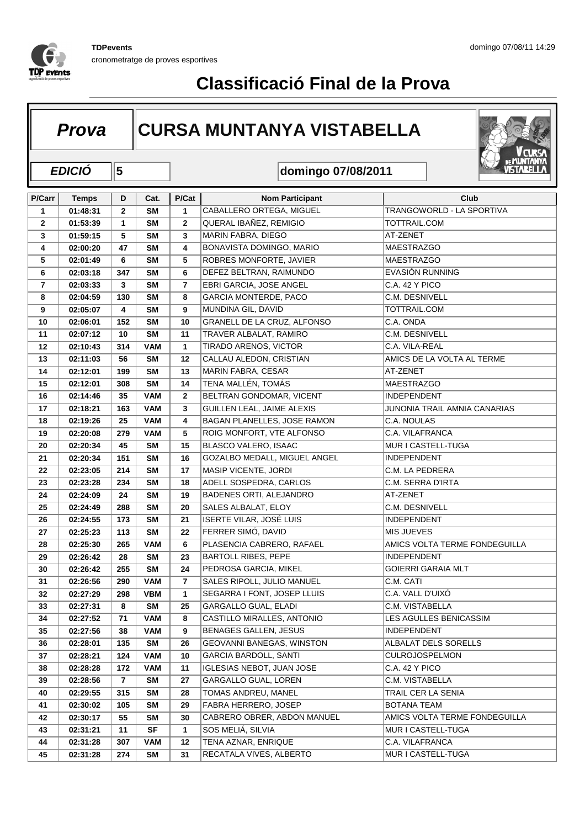

#### **D Cat.** P/Cat **Nom Participant Club Prova** CURSA MUNTANYA VISTABELLA **domingo 07/08/2011 P/Carr Temps EDICIÓ 15 Cat. P/Cat 01:48:31 2 SM 1** CABALLERO ORTEGA, MIGUEL TRANGOWORLD - LA SPORTIVA **01:53:39 1 SM 2** QUERAL IBAÑEZ, REMIGIO TOTTRAIL.COM **01:59:15 5 SM 3** MARIN FABRA, DIEGO AT-ZENET **02:00:20 47 SM 4** BONAVISTA DOMINGO, MARIO MAESTRAZGO **02:01:49 6 SM 5** ROBRES MONFORTE, JAVIER MAESTRAZGO **02:03:18 347 SM 6** DEFEZ BELTRAN, RAIMUNDO EVASIÓN RUNNING **02:03:33 3 SM 7** EBRI GARCIA, JOSE ANGEL C.A. 42 Y PICO **02:04:59 130 SM 8** GARCIA MONTERDE, PACO C.M. DESNIVELL **02:05:07 4 SM 9** MUNDINA GIL, DAVID TOTTRAIL.COM **02:06:01 152 SM 10** GRANELL DE LA CRUZ, ALFONSO C.A. ONDA **02:07:12 10 SM 11** TRAVER ALBALAT, RAMIRO C.M. DESNIVELL **02:10:43 314 VAM 1** TIRADO ARENOS, VICTOR C.A. VILA-REAL **02:11:03 56 SM 12** CALLAU ALEDON, CRISTIAN AMICS DE LA VOLTA AL TERME **02:12:01 199 SM 13** MARIN FABRA, CESAR AT-ZENET **02:12:01 308 SM 14** TENA MALLÉN, TOMÁS MAESTRAZGO **02:14:46 35 VAM 2** BELTRAN GONDOMAR, VICENT INDEPENDENT **02:18:21 163 VAM 3** GUILLEN LEAL, JAIME ALEXIS JUNONIA TRAIL AMNIA CANARIAS **02:19:26 25 VAM 4** BAGAN PLANELLES, JOSE RAMON C.A. NOULAS **02:20:08 279 VAM 5** ROIG MONFORT, VTE ALFONSO C.A. VILAFRANCA **02:20:34 45 SM 15** BLASCO VALERO, ISAAC MUR I CASTELL-TUGA **02:20:34 151 SM 16** GOZALBO MEDALL, MIGUEL ANGEL INDEPENDENT **02:23:05 214 SM 17** MASIP VICENTE, JORDI C.M. LA PEDRERA **02:23:28 234 SM 18** ADELL SOSPEDRA, CARLOS C.M. SERRA D'IRTA **02:24:09 24 SM 19** BADENES ORTI, ALEJANDRO AT-ZENET **02:24:49 288 SM 20** SALES ALBALAT, ELOY C.M. DESNIVELL **02:24:55 173 SM 21** ISERTE VILAR, JOSÉ LUIS INDEPENDENT **02:25:23 113 SM 22** FERRER SIMÓ, DAVID MIS JUEVES **02:25:30 265 VAM 6** PLASENCIA CABRERO, RAFAEL AMICS VOLTA TERME FONDEGUILLA **02:26:42 28 SM 23** BARTOLL RIBES, PEPE INDEPENDENT **02:26:42 255 SM 24** PEDROSA GARCIA, MIKEL GOIERRI GARAIA MLT **02:26:56 290 VAM 7** SALES RIPOLL, JULIO MANUEL C.M. CATI **02:27:29 298 VBM 1** SEGARRA I FONT, JOSEP LLUIS C.A. VALL D'UIXÓ **02:27:31 8 SM 25** GARGALLO GUAL, ELADI C.M. VISTABELLA **02:27:52 71 VAM 8** CASTILLO MIRALLES, ANTONIO LES AGULLES BENICASSIM **02:27:56 38 VAM 9** BENAGES GALLEN, JESUS INDEPENDENT **02:28:01 135 SM 26** GEOVANNI BANEGAS, WINSTON ALBALAT DELS SORELLS **02:28:21 124 VAM 10** GARCIA BARDOLL, SANTI CULROJOSPELMON **02:28:28 172 VAM 11** IGLESIAS NEBOT, JUAN JOSE C.A. 42 Y PICO **02:28:56 7 SM 27** GARGALLO GUAL, LOREN C.M. VISTABELLA **02:29:55 315 SM 28** TOMAS ANDREU, MANEL TRAIL CER LA SENIA **02:30:02 105 SM 29** FABRA HERRERO, JOSEP BOTANA TEAM **02:30:17 55 SM 30** CABRERO OBRER, ABDON MANUEL AMICS VOLTA TERME FONDEGUILLA **02:31:21 11 SF 1** SOS MELIÁ, SILVIA MUR I CASTELL-TUGA **02:31:28 307 VAM 12** TENA AZNAR, ENRIQUE C.A. VILAFRANCA **02:31:28 274 SM 31** RECATALA VIVES, ALBERTO MUR I CASTELL-TUGA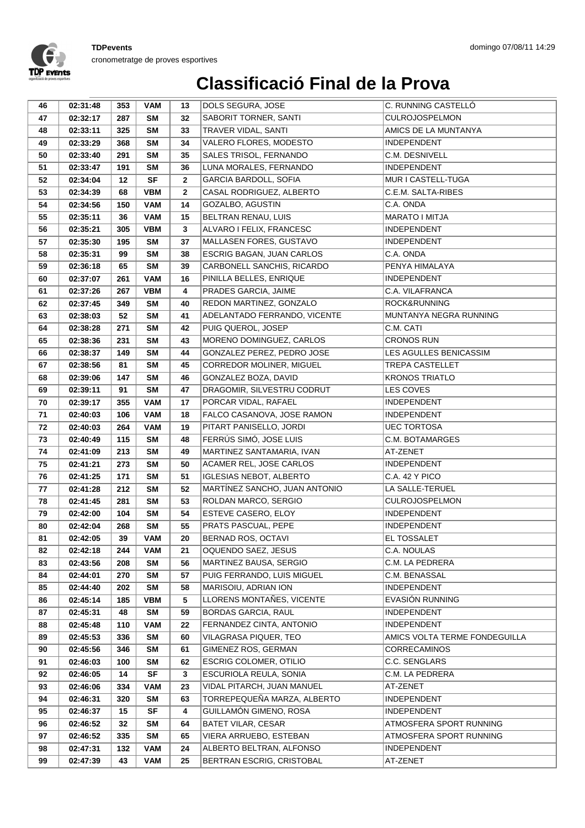

| 46       | 02:31:48             | 353        | VAM                    | 13           | DOLS SEGURA, JOSE                                     | C. RUNNING CASTELLÓ                         |
|----------|----------------------|------------|------------------------|--------------|-------------------------------------------------------|---------------------------------------------|
| 47       | 02:32:17             | 287        | <b>SM</b>              | 32           | SABORIT TORNER, SANTI                                 | <b>CULROJOSPELMON</b>                       |
| 48       | 02:33:11             | 325        | <b>SM</b>              | 33           | TRAVER VIDAL, SANTI                                   | AMICS DE LA MUNTANYA                        |
| 49       | 02:33:29             | 368        | <b>SM</b>              | 34           | VALERO FLORES, MODESTO                                | <b>INDEPENDENT</b>                          |
| 50       | 02:33:40             | 291        | <b>SM</b>              | 35           | SALES TRISOL, FERNANDO                                | C.M. DESNIVELL                              |
| 51       | 02:33:47             | 191        | <b>SM</b>              | 36           | LUNA MORALES, FERNANDO                                | <b>INDEPENDENT</b>                          |
| 52       | 02:34:04             | $12 \,$    | <b>SF</b>              | $\mathbf{2}$ | GARCIA BARDOLL, SOFIA                                 | MUR I CASTELL-TUGA                          |
| 53       | 02:34:39             | 68         | <b>VBM</b>             | $\mathbf{2}$ | CASAL RODRIGUEZ, ALBERTO                              | C.E.M. SALTA-RIBES                          |
| 54       | 02:34:56             | 150        | <b>VAM</b>             | 14           | GOZALBO, AGUSTIN                                      | C.A. ONDA                                   |
| 55       | 02:35:11             | 36         | <b>VAM</b>             | 15           | BELTRAN RENAU, LUIS                                   | <b>MARATO I MITJA</b>                       |
| 56       | 02:35:21             | 305        | <b>VBM</b>             | 3            | ALVARO I FELIX, FRANCESC                              | <b>INDEPENDENT</b>                          |
| 57       | 02:35:30             | 195        | <b>SM</b>              | 37           | MALLASEN FORES, GUSTAVO                               | INDEPENDENT                                 |
| 58       | 02:35:31             | 99         | <b>SM</b>              | 38           | ESCRIG BAGAN, JUAN CARLOS                             | C.A. ONDA                                   |
| 59       | 02:36:18             | 65         | <b>SM</b>              | 39           | CARBONELL SANCHIS, RICARDO                            | PENYA HIMALAYA                              |
| 60       | 02:37:07             | 261        | <b>VAM</b>             | 16           | PINILLA BELLES, ENRIQUE                               | <b>INDEPENDENT</b>                          |
| 61       | 02:37:26             | 267        | <b>VBM</b>             | 4            | PRADES GARCIA, JAIME                                  | C.A. VILAFRANCA                             |
| 62       | 02:37:45             | 349        | SM                     | 40           | REDON MARTINEZ, GONZALO                               | ROCK&RUNNING                                |
| 63       | 02:38:03             | 52         | <b>SM</b>              | 41           | ADELANTADO FERRANDO, VICENTE                          | MUNTANYA NEGRA RUNNING                      |
| 64       | 02:38:28             | 271        | <b>SM</b>              | 42           | PUIG QUEROL, JOSEP                                    | C.M. CATI                                   |
| 65       | 02:38:36             | 231        | <b>SM</b>              | 43           | MORENO DOMINGUEZ, CARLOS                              | <b>CRONOS RUN</b>                           |
| 66       | 02:38:37             | 149        | <b>SM</b>              | 44           | GONZALEZ PEREZ, PEDRO JOSE                            | LES AGULLES BENICASSIM                      |
| 67       | 02:38:56             | 81         | <b>SM</b>              | 45           | CORREDOR MOLINER, MIGUEL                              | <b>TREPA CASTELLET</b>                      |
| 68       | 02:39:06             | 147        | <b>SM</b>              | 46           | GONZALEZ BOZA, DAVID                                  | <b>KRONOS TRIATLO</b>                       |
| 69       | 02:39:11             | 91         | <b>SM</b>              | 47           | DRAGOMIR, SILVESTRU CODRUT                            | LES COVES                                   |
| 70       | 02:39:17             | 355        | <b>VAM</b>             | 17           | PORCAR VIDAL, RAFAEL                                  | <b>INDEPENDENT</b>                          |
| 71       | 02:40:03             | 106        | <b>VAM</b>             | 18           | FALCO CASANOVA, JOSE RAMON                            | <b>INDEPENDENT</b>                          |
| 72       | 02:40:03             | 264        | <b>VAM</b>             | 19           | PITART PANISELLO, JORDI                               | <b>UEC TORTOSA</b>                          |
| 73       | 02:40:49             | 115        | <b>SM</b>              | 48           | FERRÚS SIMÓ, JOSE LUIS                                | C.M. BOTAMARGES                             |
| 74       | 02:41:09             | 213        | <b>SM</b>              | 49           | MARTINEZ SANTAMARIA, IVAN                             | AT-ZENET                                    |
| 75       | 02:41:21             | 273        | SM                     | 50           | ACAMER REL, JOSE CARLOS                               | <b>INDEPENDENT</b>                          |
| 76       | 02:41:25             | 171        | <b>SM</b>              | 51           | IGLESIAS NEBOT, ALBERTO                               | C.A. 42 Y PICO                              |
| 77       | 02:41:28             | 212        | <b>SM</b><br><b>SM</b> | 52           | MARTÍNEZ SANCHO, JUAN ANTONIO<br>ROLDAN MARCO, SERGIO | LA SALLE-TERUEL                             |
| 78<br>79 | 02:41:45<br>02:42:00 | 281<br>104 | <b>SM</b>              | 53<br>54     | ESTEVE CASERO, ELOY                                   | <b>CULROJOSPELMON</b><br><b>INDEPENDENT</b> |
| 80       | 02:42:04             | 268        | <b>SM</b>              | 55           | PRATS PASCUAL, PEPE                                   | INDEPENDENT                                 |
| 81       | 02:42:05             | 39         | <b>VAM</b>             | 20           | <b>BERNAD ROS, OCTAVI</b>                             | EL TOSSALET                                 |
|          | 02:42:18             | 244        | <b>VAM</b>             | 21           | OQUENDO SAEZ, JESUS                                   | C.A. NOULAS                                 |
| 82<br>83 | 02:43:56             | 208        | SM                     | 56           | MARTINEZ BAUSA, SERGIO                                | C.M. LA PEDRERA                             |
| 84       | 02:44:01             | 270        | SM                     | 57           | PUIG FERRANDO, LUIS MIGUEL                            | C.M. BENASSAL                               |
| 85       | 02:44:40             | 202        | SM                     | 58           | MARISOIU, ADRIAN ION                                  | <b>INDEPENDENT</b>                          |
| 86       | 02:45:14             | 185        | VBM                    | 5            | LLORENS MONTAÑES, VICENTE                             | EVASIÓN RUNNING                             |
| 87       | 02:45:31             | 48         | SM                     | 59           | <b>BORDAS GARCIA, RAUL</b>                            | <b>INDEPENDENT</b>                          |
| 88       | 02:45:48             | 110        | VAM                    | 22           | FERNANDEZ CINTA, ANTONIO                              | <b>INDEPENDENT</b>                          |
| 89       | 02:45:53             | 336        | <b>SM</b>              | 60           | VILAGRASA PIQUER, TEO                                 | AMICS VOLTA TERME FONDEGUILLA               |
| 90       | 02:45:56             | 346        | <b>SM</b>              | 61           | GIMENEZ ROS, GERMAN                                   | <b>CORRECAMINOS</b>                         |
| 91       | 02:46:03             | 100        | <b>SM</b>              | 62           | ESCRIG COLOMER, OTILIO                                | C.C. SENGLARS                               |
| 92       | 02:46:05             | 14         | <b>SF</b>              | 3            | ESCURIOLA REULA, SONIA                                | C.M. LA PEDRERA                             |
| 93       | 02:46:06             | 334        | VAM                    | 23           | VIDAL PITARCH, JUAN MANUEL                            | AT-ZENET                                    |
| 94       | 02:46:31             | 320        | SM                     | 63           | TORREPEQUEÑA MARZA, ALBERTO                           | <b>INDEPENDENT</b>                          |
| 95       | 02:46:37             | 15         | SF                     | 4            | GUILLAMÓN GIMENO, ROSA                                | <b>INDEPENDENT</b>                          |
| 96       | 02:46:52             | 32         | SM                     | 64           | <b>BATET VILAR, CESAR</b>                             | ATMOSFERA SPORT RUNNING                     |
| 97       | 02:46:52             | 335        | SM                     | 65           | VIERA ARRUEBO, ESTEBAN                                | ATMOSFERA SPORT RUNNING                     |
| 98       | 02:47:31             | 132        | <b>VAM</b>             | 24           | ALBERTO BELTRAN, ALFONSO                              | <b>INDEPENDENT</b>                          |
| 99       | 02:47:39             | 43         | <b>VAM</b>             | 25           | BERTRAN ESCRIG, CRISTOBAL                             | AT-ZENET                                    |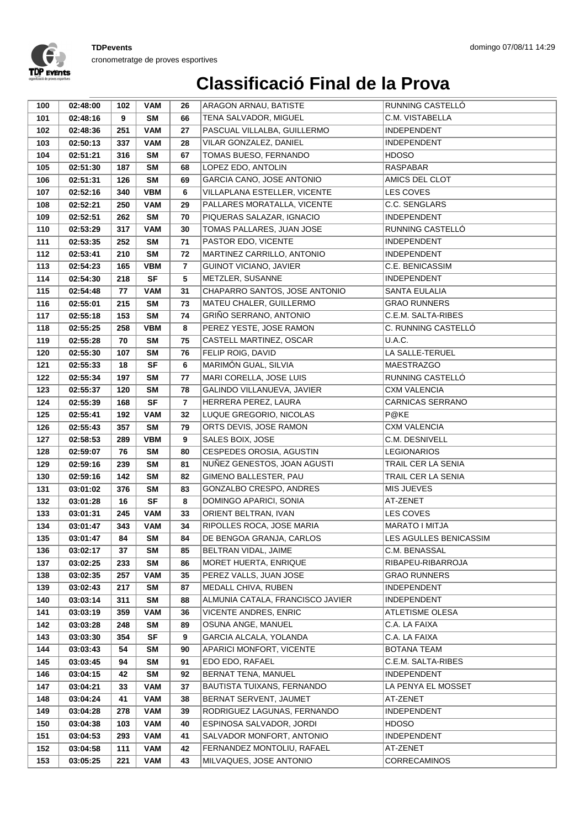

| 100        | 02:48:00             | 102       | <b>VAM</b>             | 26      | ARAGON ARNAU, BATISTE                          | RUNNING CASTELLÓ        |
|------------|----------------------|-----------|------------------------|---------|------------------------------------------------|-------------------------|
| 101        | 02:48:16             | 9         | <b>SM</b>              | 66      | TENA SALVADOR, MIGUEL                          | C.M. VISTABELLA         |
| 102        | 02:48:36             | 251       | <b>VAM</b>             | 27      | PASCUAL VILLALBA, GUILLERMO                    | <b>INDEPENDENT</b>      |
| 103        | 02:50:13             | 337       | <b>VAM</b>             | 28      | VILAR GONZALEZ, DANIEL                         | <b>INDEPENDENT</b>      |
| 104        | 02:51:21             | 316       | <b>SM</b>              | 67      | TOMAS BUESO, FERNANDO                          | <b>HDOSO</b>            |
| 105        | 02:51:30             | 187       | <b>SM</b>              | 68      | LOPEZ EDO, ANTOLIN                             | <b>RASPABAR</b>         |
| 106        | 02:51:31             | 126       | <b>SM</b>              | 69      | GARCIA CANO, JOSE ANTONIO                      | AMICS DEL CLOT          |
| 107        | 02:52:16             | 340       | <b>VBM</b>             | 6       | VILLAPLANA ESTELLER, VICENTE                   | LES COVES               |
| 108        | 02:52:21             | 250       | <b>VAM</b>             | 29      | PALLARES MORATALLA, VICENTE                    | C.C. SENGLARS           |
| 109        | 02:52:51             | 262       | <b>SM</b>              | 70      | PIQUERAS SALAZAR, IGNACIO                      | <b>INDEPENDENT</b>      |
| 110        | 02:53:29             | 317       | <b>VAM</b>             | 30      | TOMAS PALLARES, JUAN JOSE                      | RUNNING CASTELLÓ        |
| 111        | 02:53:35             | 252       | <b>SM</b>              | 71      | PASTOR EDO, VICENTE                            | <b>INDEPENDENT</b>      |
| 112        | 02:53:41             | 210       | <b>SM</b>              | 72      | MARTINEZ CARRILLO, ANTONIO                     | <b>INDEPENDENT</b>      |
| 113        | 02:54:23             | 165       | <b>VBM</b>             | 7       | GUINOT VICIANO, JAVIER                         | C.E. BENICASSIM         |
| 114        | 02:54:30             | 218       | <b>SF</b>              | 5       | METZLER, SUSANNE                               | <b>INDEPENDENT</b>      |
| 115        | 02:54:48             | 77        | <b>VAM</b>             | 31      | CHAPARRO SANTOS, JOSE ANTONIO                  | SANTA EULALIA           |
| 116        | 02:55:01             | 215       | <b>SM</b>              | 73      | MATEU CHALER, GUILLERMO                        | <b>GRAO RUNNERS</b>     |
| 117        | 02:55:18             | 153       | <b>SM</b>              | 74      | GRIÑO SERRANO, ANTONIO                         | C.E.M. SALTA-RIBES      |
| 118        | 02:55:25             | 258       | <b>VBM</b>             | 8       | PEREZ YESTE, JOSE RAMON                        | C. RUNNING CASTELLÓ     |
| 119        | 02:55:28             | 70        | SM                     | 75      | CASTELL MARTINEZ, OSCAR                        | U.A.C.                  |
| 120        | 02:55:30             | 107       | <b>SM</b>              | 76      | FELIP ROIG, DAVID                              | LA SALLE-TERUEL         |
| 121        | 02:55:33             | 18        | <b>SF</b>              | 6       | MARIMÓN GUAL, SILVIA                           | <b>MAESTRAZGO</b>       |
| 122        | 02:55:34             | 197       | <b>SM</b>              | 77      | MARI CORELLA, JOSE LUIS                        | RUNNING CASTELLÓ        |
| 123        | 02:55:37             | 120       | <b>SM</b>              | 78      | GALINDO VILLANUEVA, JAVIER                     | <b>CXM VALENCIA</b>     |
| 124        | 02:55:39             | 168       | <b>SF</b>              | 7       | HERRERA PEREZ, LAURA                           | <b>CARNICAS SERRANO</b> |
| 125        | 02:55:41             | 192       | <b>VAM</b>             | 32      | LUQUE GREGORIO, NICOLAS                        | P@KE                    |
| 126        | 02:55:43             | 357       | <b>SM</b>              | 79      | ORTS DEVIS, JOSE RAMON                         | <b>CXM VALENCIA</b>     |
| 127        | 02:58:53             | 289       | <b>VBM</b>             | 9       | SALES BOIX, JOSE                               | C.M. DESNIVELL          |
| 128        | 02:59:07             | 76        | <b>SM</b>              | 80      | CESPEDES OROSIA, AGUSTIN                       | <b>LEGIONARIOS</b>      |
| 129        | 02:59:16             | 239       | <b>SM</b>              | 81      | NUÑEZ GENESTOS, JOAN AGUSTI                    | TRAIL CER LA SENIA      |
| 130        | 02:59:16             | 142       | <b>SM</b>              | 82      | GIMENO BALLESTER, PAU                          | TRAIL CER LA SENIA      |
| 131        | 03:01:02<br>03:01:28 | 376       | <b>SM</b><br><b>SF</b> | 83      | GONZALBO CRESPO, ANDRES                        | <b>MIS JUEVES</b>       |
| 132<br>133 | 03:01:31             | 16<br>245 | <b>VAM</b>             | 8<br>33 | DOMINGO APARICI, SONIA<br>ORIENT BELTRAN, IVAN | AT-ZENET<br>LES COVES   |
| 134        | 03:01:47             | 343       | <b>VAM</b>             | 34      | RIPOLLES ROCA, JOSE MARIA                      | MARATO I MITJA          |
| 135        | 03:01:47             | 84        | SM                     | 84      | DE BENGOA GRANJA, CARLOS                       | LES AGULLES BENICASSIM  |
| 136        | 03:02:17             | 37        | <b>SM</b>              | 85      | BELTRAN VIDAL, JAIME                           | C.M. BENASSAL           |
| 137        | 03:02:25             | 233       | SM                     | 86      | MORET HUERTA, ENRIQUE                          | RIBAPEU-RIBARROJA       |
| 138        | 03:02:35             | 257       | <b>VAM</b>             | 35      | PEREZ VALLS, JUAN JOSE                         | <b>GRAO RUNNERS</b>     |
| 139        | 03:02:43             | 217       | <b>SM</b>              | 87      | MEDALL CHIVA, RUBEN                            | INDEPENDENT             |
| 140        | 03:03:14             | 311       | SM                     | 88      | ALMUNIA CATALA, FRANCISCO JAVIER               | <b>INDEPENDENT</b>      |
| 141        | 03:03:19             | 359       | VAM                    | 36      | VICENTE ANDRES, ENRIC                          | ATLETISME OLESA         |
| 142        | 03:03:28             | 248       | SM                     | 89      | OSUNA ANGE, MANUEL                             | C.A. LA FAIXA           |
| 143        | 03:03:30             | 354       | <b>SF</b>              | 9       | GARCIA ALCALA, YOLANDA                         | C.A. LA FAIXA           |
| 144        | 03:03:43             | 54        | <b>SM</b>              | 90      | APARICI MONFORT, VICENTE                       | <b>BOTANA TEAM</b>      |
| 145        | 03:03:45             | 94        | <b>SM</b>              | 91      | EDO EDO, RAFAEL                                | C.E.M. SALTA-RIBES      |
| 146        | 03:04:15             | 42        | SM                     | 92      | BERNAT TENA, MANUEL                            | <b>INDEPENDENT</b>      |
| 147        | 03:04:21             | 33        | <b>VAM</b>             | 37      | BAUTISTA TUIXANS, FERNANDO                     | LA PENYA EL MOSSET      |
| 148        | 03:04:24             | 41        | <b>VAM</b>             | 38      | BERNAT SERVENT, JAUMET                         | AT-ZENET                |
| 149        | 03:04:28             | 278       | VAM                    | 39      | RODRIGUEZ LAGUNAS, FERNANDO                    | <b>INDEPENDENT</b>      |
| 150        | 03:04:38             | 103       | <b>VAM</b>             | 40      | ESPINOSA SALVADOR, JORDI                       | <b>HDOSO</b>            |
| 151        | 03:04:53             | 293       | <b>VAM</b>             | 41      | SALVADOR MONFORT, ANTONIO                      | <b>INDEPENDENT</b>      |
| 152        | 03:04:58             | 111       | <b>VAM</b>             | 42      | FERNANDEZ MONTOLIU, RAFAEL                     | AT-ZENET                |
| 153        | 03:05:25             | 221       | <b>VAM</b>             | 43      | MILVAQUES, JOSE ANTONIO                        | <b>CORRECAMINOS</b>     |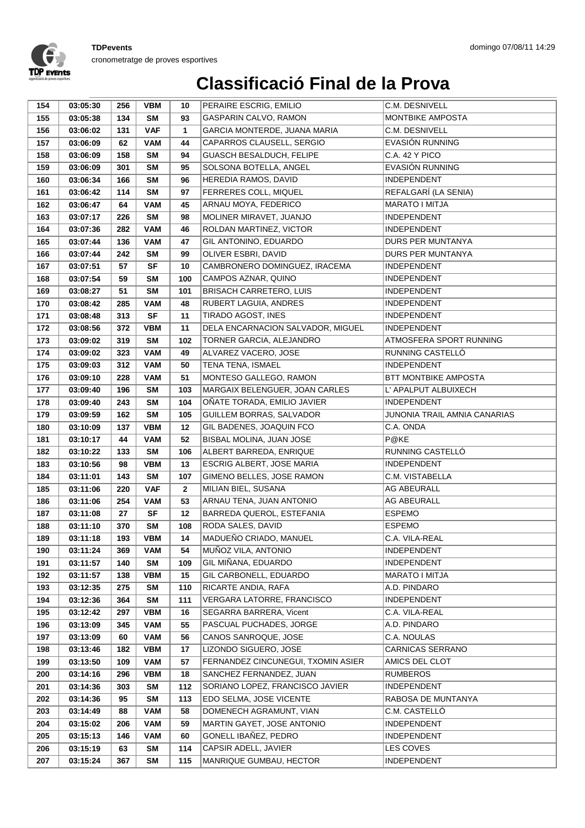

| GASPARIN CALVO, RAMON<br>155<br><b>SM</b><br>MONTBIKE AMPOSTA<br>03:05:38<br>134<br>93<br>GARCIA MONTERDE, JUANA MARIA<br>C.M. DESNIVELL<br>156<br><b>VAF</b><br>$\mathbf{1}$<br>03:06:02<br>131<br>EVASIÓN RUNNING<br>157<br><b>VAM</b><br>44<br>CAPARROS CLAUSELL, SERGIO<br>03:06:09<br>62<br>GUASCH BESALDUCH, FELIPE<br>C.A. 42 Y PICO<br>158<br>158<br><b>SM</b><br>03:06:09<br>94<br>EVASIÓN RUNNING<br>SOLSONA BOTELLA, ANGEL<br>159<br>301<br><b>SM</b><br>95<br>03:06:09<br>HEREDIA RAMOS, DAVID<br><b>INDEPENDENT</b><br><b>SM</b><br>96<br>160<br>03:06:34<br>166<br>REFALGARÍ (LA SENIA)<br>161<br><b>SM</b><br>97<br>FERRERES COLL, MIQUEL<br>03:06:42<br>114<br>ARNAU MOYA, FEDERICO<br><b>MARATO I MITJA</b><br><b>VAM</b><br>45<br>162<br>03:06:47<br>64<br>MOLINER MIRAVET, JUANJO<br>163<br><b>SM</b><br>98<br><b>INDEPENDENT</b><br>03:07:17<br>226<br>ROLDAN MARTINEZ, VICTOR<br>164<br>282<br><b>VAM</b><br>46<br><b>INDEPENDENT</b><br>03:07:36<br>GIL ANTONINO, EDUARDO<br>165<br>136<br><b>VAM</b><br>DURS PER MUNTANYA<br>03:07:44<br>47<br>166<br>242<br><b>SM</b><br>99<br>OLIVER ESBRI, DAVID<br>DURS PER MUNTANYA<br>03:07:44<br>167<br><b>SF</b><br>10<br>CAMBRONERO DOMINGUEZ, IRACEMA<br>03:07:51<br>57<br><b>INDEPENDENT</b><br>CAMPOS AZNAR, QUINO<br><b>INDEPENDENT</b><br>168<br>03:07:54<br>59<br>SM<br>100<br><b>BRISACH CARRETERO, LUIS</b><br>169<br>51<br><b>SM</b><br>101<br><b>INDEPENDENT</b><br>03:08:27<br>170<br>285<br><b>VAM</b><br>48<br>RUBERT LAGUIA, ANDRES<br><b>INDEPENDENT</b><br>03:08:42<br>TIRADO AGOST, INES<br><b>INDEPENDENT</b><br>03:08:48<br>313<br><b>SF</b><br>11<br>171<br>DELA ENCARNACION SALVADOR, MIGUEL<br>172<br>372<br><b>VBM</b><br>11<br><b>INDEPENDENT</b><br>03:08:56<br>TORNER GARCIA, ALEJANDRO<br>ATMOSFERA SPORT RUNNING<br>173<br>319<br><b>SM</b><br>102<br>03:09:02<br>174<br>323<br><b>VAM</b><br>49<br>ALVAREZ VACERO, JOSE<br>RUNNING CASTELLÓ<br>03:09:02<br><b>TENA TENA, ISMAEL</b><br><b>INDEPENDENT</b><br>175<br>312<br><b>VAM</b><br>50<br>03:09:03<br>176<br><b>VAM</b><br>51<br>MONTESO GALLEGO, RAMON<br>BTT MONTBIKE AMPOSTA<br>03:09:10<br>228<br>MARGAIX BELENGUER, JOAN CARLES<br>L' APALPUT ALBUIXECH<br>177<br>196<br><b>SM</b><br>103<br>03:09:40<br><b>SM</b><br>OÑATE TORADA, EMILIO JAVIER<br>178<br>03:09:40<br>243<br>104<br>INDEPENDENT<br>GUILLEM BORRAS, SALVADOR<br>179<br><b>SM</b><br>105<br>JUNONIA TRAIL AMNIA CANARIAS<br>03:09:59<br>162<br>180<br><b>VBM</b><br>12<br>GIL BADENES, JOAQUIN FCO<br>C.A. ONDA<br>03:10:09<br>137<br>BISBAL MOLINA, JUAN JOSE<br>P@KE<br>181<br>03:10:17<br>44<br><b>VAM</b><br>52 |  |
|--------------------------------------------------------------------------------------------------------------------------------------------------------------------------------------------------------------------------------------------------------------------------------------------------------------------------------------------------------------------------------------------------------------------------------------------------------------------------------------------------------------------------------------------------------------------------------------------------------------------------------------------------------------------------------------------------------------------------------------------------------------------------------------------------------------------------------------------------------------------------------------------------------------------------------------------------------------------------------------------------------------------------------------------------------------------------------------------------------------------------------------------------------------------------------------------------------------------------------------------------------------------------------------------------------------------------------------------------------------------------------------------------------------------------------------------------------------------------------------------------------------------------------------------------------------------------------------------------------------------------------------------------------------------------------------------------------------------------------------------------------------------------------------------------------------------------------------------------------------------------------------------------------------------------------------------------------------------------------------------------------------------------------------------------------------------------------------------------------------------------------------------------------------------------------------------------------------------------------------------------------------------------------------------------------------------------------------------------------------------------------------------------------------------------------------------------------------------------------------------------------------------------------------------------------------------------------------------------------------------------------------------|--|
|                                                                                                                                                                                                                                                                                                                                                                                                                                                                                                                                                                                                                                                                                                                                                                                                                                                                                                                                                                                                                                                                                                                                                                                                                                                                                                                                                                                                                                                                                                                                                                                                                                                                                                                                                                                                                                                                                                                                                                                                                                                                                                                                                                                                                                                                                                                                                                                                                                                                                                                                                                                                                                            |  |
|                                                                                                                                                                                                                                                                                                                                                                                                                                                                                                                                                                                                                                                                                                                                                                                                                                                                                                                                                                                                                                                                                                                                                                                                                                                                                                                                                                                                                                                                                                                                                                                                                                                                                                                                                                                                                                                                                                                                                                                                                                                                                                                                                                                                                                                                                                                                                                                                                                                                                                                                                                                                                                            |  |
|                                                                                                                                                                                                                                                                                                                                                                                                                                                                                                                                                                                                                                                                                                                                                                                                                                                                                                                                                                                                                                                                                                                                                                                                                                                                                                                                                                                                                                                                                                                                                                                                                                                                                                                                                                                                                                                                                                                                                                                                                                                                                                                                                                                                                                                                                                                                                                                                                                                                                                                                                                                                                                            |  |
|                                                                                                                                                                                                                                                                                                                                                                                                                                                                                                                                                                                                                                                                                                                                                                                                                                                                                                                                                                                                                                                                                                                                                                                                                                                                                                                                                                                                                                                                                                                                                                                                                                                                                                                                                                                                                                                                                                                                                                                                                                                                                                                                                                                                                                                                                                                                                                                                                                                                                                                                                                                                                                            |  |
|                                                                                                                                                                                                                                                                                                                                                                                                                                                                                                                                                                                                                                                                                                                                                                                                                                                                                                                                                                                                                                                                                                                                                                                                                                                                                                                                                                                                                                                                                                                                                                                                                                                                                                                                                                                                                                                                                                                                                                                                                                                                                                                                                                                                                                                                                                                                                                                                                                                                                                                                                                                                                                            |  |
|                                                                                                                                                                                                                                                                                                                                                                                                                                                                                                                                                                                                                                                                                                                                                                                                                                                                                                                                                                                                                                                                                                                                                                                                                                                                                                                                                                                                                                                                                                                                                                                                                                                                                                                                                                                                                                                                                                                                                                                                                                                                                                                                                                                                                                                                                                                                                                                                                                                                                                                                                                                                                                            |  |
|                                                                                                                                                                                                                                                                                                                                                                                                                                                                                                                                                                                                                                                                                                                                                                                                                                                                                                                                                                                                                                                                                                                                                                                                                                                                                                                                                                                                                                                                                                                                                                                                                                                                                                                                                                                                                                                                                                                                                                                                                                                                                                                                                                                                                                                                                                                                                                                                                                                                                                                                                                                                                                            |  |
|                                                                                                                                                                                                                                                                                                                                                                                                                                                                                                                                                                                                                                                                                                                                                                                                                                                                                                                                                                                                                                                                                                                                                                                                                                                                                                                                                                                                                                                                                                                                                                                                                                                                                                                                                                                                                                                                                                                                                                                                                                                                                                                                                                                                                                                                                                                                                                                                                                                                                                                                                                                                                                            |  |
|                                                                                                                                                                                                                                                                                                                                                                                                                                                                                                                                                                                                                                                                                                                                                                                                                                                                                                                                                                                                                                                                                                                                                                                                                                                                                                                                                                                                                                                                                                                                                                                                                                                                                                                                                                                                                                                                                                                                                                                                                                                                                                                                                                                                                                                                                                                                                                                                                                                                                                                                                                                                                                            |  |
|                                                                                                                                                                                                                                                                                                                                                                                                                                                                                                                                                                                                                                                                                                                                                                                                                                                                                                                                                                                                                                                                                                                                                                                                                                                                                                                                                                                                                                                                                                                                                                                                                                                                                                                                                                                                                                                                                                                                                                                                                                                                                                                                                                                                                                                                                                                                                                                                                                                                                                                                                                                                                                            |  |
|                                                                                                                                                                                                                                                                                                                                                                                                                                                                                                                                                                                                                                                                                                                                                                                                                                                                                                                                                                                                                                                                                                                                                                                                                                                                                                                                                                                                                                                                                                                                                                                                                                                                                                                                                                                                                                                                                                                                                                                                                                                                                                                                                                                                                                                                                                                                                                                                                                                                                                                                                                                                                                            |  |
|                                                                                                                                                                                                                                                                                                                                                                                                                                                                                                                                                                                                                                                                                                                                                                                                                                                                                                                                                                                                                                                                                                                                                                                                                                                                                                                                                                                                                                                                                                                                                                                                                                                                                                                                                                                                                                                                                                                                                                                                                                                                                                                                                                                                                                                                                                                                                                                                                                                                                                                                                                                                                                            |  |
|                                                                                                                                                                                                                                                                                                                                                                                                                                                                                                                                                                                                                                                                                                                                                                                                                                                                                                                                                                                                                                                                                                                                                                                                                                                                                                                                                                                                                                                                                                                                                                                                                                                                                                                                                                                                                                                                                                                                                                                                                                                                                                                                                                                                                                                                                                                                                                                                                                                                                                                                                                                                                                            |  |
|                                                                                                                                                                                                                                                                                                                                                                                                                                                                                                                                                                                                                                                                                                                                                                                                                                                                                                                                                                                                                                                                                                                                                                                                                                                                                                                                                                                                                                                                                                                                                                                                                                                                                                                                                                                                                                                                                                                                                                                                                                                                                                                                                                                                                                                                                                                                                                                                                                                                                                                                                                                                                                            |  |
|                                                                                                                                                                                                                                                                                                                                                                                                                                                                                                                                                                                                                                                                                                                                                                                                                                                                                                                                                                                                                                                                                                                                                                                                                                                                                                                                                                                                                                                                                                                                                                                                                                                                                                                                                                                                                                                                                                                                                                                                                                                                                                                                                                                                                                                                                                                                                                                                                                                                                                                                                                                                                                            |  |
|                                                                                                                                                                                                                                                                                                                                                                                                                                                                                                                                                                                                                                                                                                                                                                                                                                                                                                                                                                                                                                                                                                                                                                                                                                                                                                                                                                                                                                                                                                                                                                                                                                                                                                                                                                                                                                                                                                                                                                                                                                                                                                                                                                                                                                                                                                                                                                                                                                                                                                                                                                                                                                            |  |
|                                                                                                                                                                                                                                                                                                                                                                                                                                                                                                                                                                                                                                                                                                                                                                                                                                                                                                                                                                                                                                                                                                                                                                                                                                                                                                                                                                                                                                                                                                                                                                                                                                                                                                                                                                                                                                                                                                                                                                                                                                                                                                                                                                                                                                                                                                                                                                                                                                                                                                                                                                                                                                            |  |
|                                                                                                                                                                                                                                                                                                                                                                                                                                                                                                                                                                                                                                                                                                                                                                                                                                                                                                                                                                                                                                                                                                                                                                                                                                                                                                                                                                                                                                                                                                                                                                                                                                                                                                                                                                                                                                                                                                                                                                                                                                                                                                                                                                                                                                                                                                                                                                                                                                                                                                                                                                                                                                            |  |
|                                                                                                                                                                                                                                                                                                                                                                                                                                                                                                                                                                                                                                                                                                                                                                                                                                                                                                                                                                                                                                                                                                                                                                                                                                                                                                                                                                                                                                                                                                                                                                                                                                                                                                                                                                                                                                                                                                                                                                                                                                                                                                                                                                                                                                                                                                                                                                                                                                                                                                                                                                                                                                            |  |
|                                                                                                                                                                                                                                                                                                                                                                                                                                                                                                                                                                                                                                                                                                                                                                                                                                                                                                                                                                                                                                                                                                                                                                                                                                                                                                                                                                                                                                                                                                                                                                                                                                                                                                                                                                                                                                                                                                                                                                                                                                                                                                                                                                                                                                                                                                                                                                                                                                                                                                                                                                                                                                            |  |
|                                                                                                                                                                                                                                                                                                                                                                                                                                                                                                                                                                                                                                                                                                                                                                                                                                                                                                                                                                                                                                                                                                                                                                                                                                                                                                                                                                                                                                                                                                                                                                                                                                                                                                                                                                                                                                                                                                                                                                                                                                                                                                                                                                                                                                                                                                                                                                                                                                                                                                                                                                                                                                            |  |
|                                                                                                                                                                                                                                                                                                                                                                                                                                                                                                                                                                                                                                                                                                                                                                                                                                                                                                                                                                                                                                                                                                                                                                                                                                                                                                                                                                                                                                                                                                                                                                                                                                                                                                                                                                                                                                                                                                                                                                                                                                                                                                                                                                                                                                                                                                                                                                                                                                                                                                                                                                                                                                            |  |
|                                                                                                                                                                                                                                                                                                                                                                                                                                                                                                                                                                                                                                                                                                                                                                                                                                                                                                                                                                                                                                                                                                                                                                                                                                                                                                                                                                                                                                                                                                                                                                                                                                                                                                                                                                                                                                                                                                                                                                                                                                                                                                                                                                                                                                                                                                                                                                                                                                                                                                                                                                                                                                            |  |
|                                                                                                                                                                                                                                                                                                                                                                                                                                                                                                                                                                                                                                                                                                                                                                                                                                                                                                                                                                                                                                                                                                                                                                                                                                                                                                                                                                                                                                                                                                                                                                                                                                                                                                                                                                                                                                                                                                                                                                                                                                                                                                                                                                                                                                                                                                                                                                                                                                                                                                                                                                                                                                            |  |
|                                                                                                                                                                                                                                                                                                                                                                                                                                                                                                                                                                                                                                                                                                                                                                                                                                                                                                                                                                                                                                                                                                                                                                                                                                                                                                                                                                                                                                                                                                                                                                                                                                                                                                                                                                                                                                                                                                                                                                                                                                                                                                                                                                                                                                                                                                                                                                                                                                                                                                                                                                                                                                            |  |
|                                                                                                                                                                                                                                                                                                                                                                                                                                                                                                                                                                                                                                                                                                                                                                                                                                                                                                                                                                                                                                                                                                                                                                                                                                                                                                                                                                                                                                                                                                                                                                                                                                                                                                                                                                                                                                                                                                                                                                                                                                                                                                                                                                                                                                                                                                                                                                                                                                                                                                                                                                                                                                            |  |
|                                                                                                                                                                                                                                                                                                                                                                                                                                                                                                                                                                                                                                                                                                                                                                                                                                                                                                                                                                                                                                                                                                                                                                                                                                                                                                                                                                                                                                                                                                                                                                                                                                                                                                                                                                                                                                                                                                                                                                                                                                                                                                                                                                                                                                                                                                                                                                                                                                                                                                                                                                                                                                            |  |
| 182<br><b>SM</b><br>106<br>ALBERT BARREDA, ENRIQUE<br>RUNNING CASTELLÓ<br>03:10:22<br>133                                                                                                                                                                                                                                                                                                                                                                                                                                                                                                                                                                                                                                                                                                                                                                                                                                                                                                                                                                                                                                                                                                                                                                                                                                                                                                                                                                                                                                                                                                                                                                                                                                                                                                                                                                                                                                                                                                                                                                                                                                                                                                                                                                                                                                                                                                                                                                                                                                                                                                                                                  |  |
| ESCRIG ALBERT, JOSE MARIA<br><b>INDEPENDENT</b><br><b>VBM</b><br>13<br>183<br>03:10:56<br>98                                                                                                                                                                                                                                                                                                                                                                                                                                                                                                                                                                                                                                                                                                                                                                                                                                                                                                                                                                                                                                                                                                                                                                                                                                                                                                                                                                                                                                                                                                                                                                                                                                                                                                                                                                                                                                                                                                                                                                                                                                                                                                                                                                                                                                                                                                                                                                                                                                                                                                                                               |  |
| GIMENO BELLES, JOSE RAMON<br><b>SM</b><br>C.M. VISTABELLA<br>184<br>03:11:01<br>143<br>107                                                                                                                                                                                                                                                                                                                                                                                                                                                                                                                                                                                                                                                                                                                                                                                                                                                                                                                                                                                                                                                                                                                                                                                                                                                                                                                                                                                                                                                                                                                                                                                                                                                                                                                                                                                                                                                                                                                                                                                                                                                                                                                                                                                                                                                                                                                                                                                                                                                                                                                                                 |  |
| 185<br>220<br><b>VAF</b><br>MILIAN BIEL, SUSANA<br>AG ABEURALL<br>03:11:06<br>$\mathbf{2}$                                                                                                                                                                                                                                                                                                                                                                                                                                                                                                                                                                                                                                                                                                                                                                                                                                                                                                                                                                                                                                                                                                                                                                                                                                                                                                                                                                                                                                                                                                                                                                                                                                                                                                                                                                                                                                                                                                                                                                                                                                                                                                                                                                                                                                                                                                                                                                                                                                                                                                                                                 |  |
| 254<br>53<br>ARNAU TENA, JUAN ANTONIO<br>AG ABEURALL<br>186<br>03:11:06<br>VAM                                                                                                                                                                                                                                                                                                                                                                                                                                                                                                                                                                                                                                                                                                                                                                                                                                                                                                                                                                                                                                                                                                                                                                                                                                                                                                                                                                                                                                                                                                                                                                                                                                                                                                                                                                                                                                                                                                                                                                                                                                                                                                                                                                                                                                                                                                                                                                                                                                                                                                                                                             |  |
| <b>SF</b><br>BARREDA QUEROL, ESTEFANIA<br><b>ESPEMO</b><br>187<br>03:11:08<br>27<br>12                                                                                                                                                                                                                                                                                                                                                                                                                                                                                                                                                                                                                                                                                                                                                                                                                                                                                                                                                                                                                                                                                                                                                                                                                                                                                                                                                                                                                                                                                                                                                                                                                                                                                                                                                                                                                                                                                                                                                                                                                                                                                                                                                                                                                                                                                                                                                                                                                                                                                                                                                     |  |
| RODA SALES, DAVID<br><b>SM</b><br><b>ESPEMO</b><br>188<br>370<br>108<br>03:11:10                                                                                                                                                                                                                                                                                                                                                                                                                                                                                                                                                                                                                                                                                                                                                                                                                                                                                                                                                                                                                                                                                                                                                                                                                                                                                                                                                                                                                                                                                                                                                                                                                                                                                                                                                                                                                                                                                                                                                                                                                                                                                                                                                                                                                                                                                                                                                                                                                                                                                                                                                           |  |
| MADUEÑO CRIADO, MANUEL<br><b>VBM</b><br>14<br>189<br>03:11:18<br>193<br>C.A. VILA-REAL                                                                                                                                                                                                                                                                                                                                                                                                                                                                                                                                                                                                                                                                                                                                                                                                                                                                                                                                                                                                                                                                                                                                                                                                                                                                                                                                                                                                                                                                                                                                                                                                                                                                                                                                                                                                                                                                                                                                                                                                                                                                                                                                                                                                                                                                                                                                                                                                                                                                                                                                                     |  |
| MUÑOZ VILA, ANTONIO<br><b>INDEPENDENT</b><br>190<br>03:11:24<br>369<br>VAM<br>54                                                                                                                                                                                                                                                                                                                                                                                                                                                                                                                                                                                                                                                                                                                                                                                                                                                                                                                                                                                                                                                                                                                                                                                                                                                                                                                                                                                                                                                                                                                                                                                                                                                                                                                                                                                                                                                                                                                                                                                                                                                                                                                                                                                                                                                                                                                                                                                                                                                                                                                                                           |  |
| <b>SM</b><br>GIL MIÑANA, EDUARDO<br>191<br>03:11:57<br>140<br>109<br><b>INDEPENDENT</b><br>GIL CARBONELL, EDUARDO<br><b>VBM</b><br>MARATO I MITJA                                                                                                                                                                                                                                                                                                                                                                                                                                                                                                                                                                                                                                                                                                                                                                                                                                                                                                                                                                                                                                                                                                                                                                                                                                                                                                                                                                                                                                                                                                                                                                                                                                                                                                                                                                                                                                                                                                                                                                                                                                                                                                                                                                                                                                                                                                                                                                                                                                                                                          |  |
| 15<br>192<br>03:11:57<br>138<br>RICARTE ANDIA, RAFA<br>A.D. PINDARO                                                                                                                                                                                                                                                                                                                                                                                                                                                                                                                                                                                                                                                                                                                                                                                                                                                                                                                                                                                                                                                                                                                                                                                                                                                                                                                                                                                                                                                                                                                                                                                                                                                                                                                                                                                                                                                                                                                                                                                                                                                                                                                                                                                                                                                                                                                                                                                                                                                                                                                                                                        |  |
| 110<br>193<br>03:12:35<br>275<br>SM<br>111<br>VERGARA LATORRE, FRANCISCO<br><b>INDEPENDENT</b><br>194<br>03:12:36<br>364<br><b>SM</b>                                                                                                                                                                                                                                                                                                                                                                                                                                                                                                                                                                                                                                                                                                                                                                                                                                                                                                                                                                                                                                                                                                                                                                                                                                                                                                                                                                                                                                                                                                                                                                                                                                                                                                                                                                                                                                                                                                                                                                                                                                                                                                                                                                                                                                                                                                                                                                                                                                                                                                      |  |
| 195<br>03:12:42<br>297<br><b>VBM</b><br>16<br>SEGARRA BARRERA, Vicent<br>C.A. VILA-REAL                                                                                                                                                                                                                                                                                                                                                                                                                                                                                                                                                                                                                                                                                                                                                                                                                                                                                                                                                                                                                                                                                                                                                                                                                                                                                                                                                                                                                                                                                                                                                                                                                                                                                                                                                                                                                                                                                                                                                                                                                                                                                                                                                                                                                                                                                                                                                                                                                                                                                                                                                    |  |
| PASCUAL PUCHADES, JORGE<br>55<br>A.D. PINDARO<br>196<br>03:13:09<br>345<br><b>VAM</b>                                                                                                                                                                                                                                                                                                                                                                                                                                                                                                                                                                                                                                                                                                                                                                                                                                                                                                                                                                                                                                                                                                                                                                                                                                                                                                                                                                                                                                                                                                                                                                                                                                                                                                                                                                                                                                                                                                                                                                                                                                                                                                                                                                                                                                                                                                                                                                                                                                                                                                                                                      |  |
| 56<br>197<br>03:13:09<br>60<br><b>VAM</b><br>CANOS SANROQUE, JOSE<br>C.A. NOULAS                                                                                                                                                                                                                                                                                                                                                                                                                                                                                                                                                                                                                                                                                                                                                                                                                                                                                                                                                                                                                                                                                                                                                                                                                                                                                                                                                                                                                                                                                                                                                                                                                                                                                                                                                                                                                                                                                                                                                                                                                                                                                                                                                                                                                                                                                                                                                                                                                                                                                                                                                           |  |
| LIZONDO SIGUERO, JOSE<br>CARNICAS SERRANO<br><b>VBM</b><br>198<br>03:13:46<br>182<br>17                                                                                                                                                                                                                                                                                                                                                                                                                                                                                                                                                                                                                                                                                                                                                                                                                                                                                                                                                                                                                                                                                                                                                                                                                                                                                                                                                                                                                                                                                                                                                                                                                                                                                                                                                                                                                                                                                                                                                                                                                                                                                                                                                                                                                                                                                                                                                                                                                                                                                                                                                    |  |
| 199<br>03:13:50<br>109<br><b>VAM</b><br>57<br>FERNANDEZ CINCUNEGUI, TXOMIN ASIER<br>AMICS DEL CLOT                                                                                                                                                                                                                                                                                                                                                                                                                                                                                                                                                                                                                                                                                                                                                                                                                                                                                                                                                                                                                                                                                                                                                                                                                                                                                                                                                                                                                                                                                                                                                                                                                                                                                                                                                                                                                                                                                                                                                                                                                                                                                                                                                                                                                                                                                                                                                                                                                                                                                                                                         |  |
| <b>VBM</b><br>18<br>SANCHEZ FERNANDEZ, JUAN<br><b>RUMBEROS</b><br>200<br>03:14:16<br>296                                                                                                                                                                                                                                                                                                                                                                                                                                                                                                                                                                                                                                                                                                                                                                                                                                                                                                                                                                                                                                                                                                                                                                                                                                                                                                                                                                                                                                                                                                                                                                                                                                                                                                                                                                                                                                                                                                                                                                                                                                                                                                                                                                                                                                                                                                                                                                                                                                                                                                                                                   |  |
| 112<br>201<br>03:14:36<br>303<br>SM<br>SORIANO LOPEZ, FRANCISCO JAVIER<br><b>INDEPENDENT</b>                                                                                                                                                                                                                                                                                                                                                                                                                                                                                                                                                                                                                                                                                                                                                                                                                                                                                                                                                                                                                                                                                                                                                                                                                                                                                                                                                                                                                                                                                                                                                                                                                                                                                                                                                                                                                                                                                                                                                                                                                                                                                                                                                                                                                                                                                                                                                                                                                                                                                                                                               |  |
| RABOSA DE MUNTANYA<br><b>SM</b><br>113<br>EDO SELMA, JOSE VICENTE<br>202<br>03:14:36<br>95                                                                                                                                                                                                                                                                                                                                                                                                                                                                                                                                                                                                                                                                                                                                                                                                                                                                                                                                                                                                                                                                                                                                                                                                                                                                                                                                                                                                                                                                                                                                                                                                                                                                                                                                                                                                                                                                                                                                                                                                                                                                                                                                                                                                                                                                                                                                                                                                                                                                                                                                                 |  |
| DOMENECH AGRAMUNT, VIAN<br>C.M. CASTELLÓ<br>03:14:49<br><b>VAM</b><br>58<br>203<br>88                                                                                                                                                                                                                                                                                                                                                                                                                                                                                                                                                                                                                                                                                                                                                                                                                                                                                                                                                                                                                                                                                                                                                                                                                                                                                                                                                                                                                                                                                                                                                                                                                                                                                                                                                                                                                                                                                                                                                                                                                                                                                                                                                                                                                                                                                                                                                                                                                                                                                                                                                      |  |
| MARTIN GAYET, JOSE ANTONIO<br>INDEPENDENT<br>204<br>03:15:02<br>206<br><b>VAM</b><br>59                                                                                                                                                                                                                                                                                                                                                                                                                                                                                                                                                                                                                                                                                                                                                                                                                                                                                                                                                                                                                                                                                                                                                                                                                                                                                                                                                                                                                                                                                                                                                                                                                                                                                                                                                                                                                                                                                                                                                                                                                                                                                                                                                                                                                                                                                                                                                                                                                                                                                                                                                    |  |
| 60<br>GONELL IBAÑEZ, PEDRO<br>205<br>03:15:13<br>146<br><b>VAM</b><br><b>INDEPENDENT</b>                                                                                                                                                                                                                                                                                                                                                                                                                                                                                                                                                                                                                                                                                                                                                                                                                                                                                                                                                                                                                                                                                                                                                                                                                                                                                                                                                                                                                                                                                                                                                                                                                                                                                                                                                                                                                                                                                                                                                                                                                                                                                                                                                                                                                                                                                                                                                                                                                                                                                                                                                   |  |
| CAPSIR ADELL, JAVIER<br>114<br>LES COVES<br>206<br>03:15:19<br>63<br>SM                                                                                                                                                                                                                                                                                                                                                                                                                                                                                                                                                                                                                                                                                                                                                                                                                                                                                                                                                                                                                                                                                                                                                                                                                                                                                                                                                                                                                                                                                                                                                                                                                                                                                                                                                                                                                                                                                                                                                                                                                                                                                                                                                                                                                                                                                                                                                                                                                                                                                                                                                                    |  |
| MANRIQUE GUMBAU, HECTOR<br><b>INDEPENDENT</b><br>207<br>03:15:24<br>367<br>SM<br>115                                                                                                                                                                                                                                                                                                                                                                                                                                                                                                                                                                                                                                                                                                                                                                                                                                                                                                                                                                                                                                                                                                                                                                                                                                                                                                                                                                                                                                                                                                                                                                                                                                                                                                                                                                                                                                                                                                                                                                                                                                                                                                                                                                                                                                                                                                                                                                                                                                                                                                                                                       |  |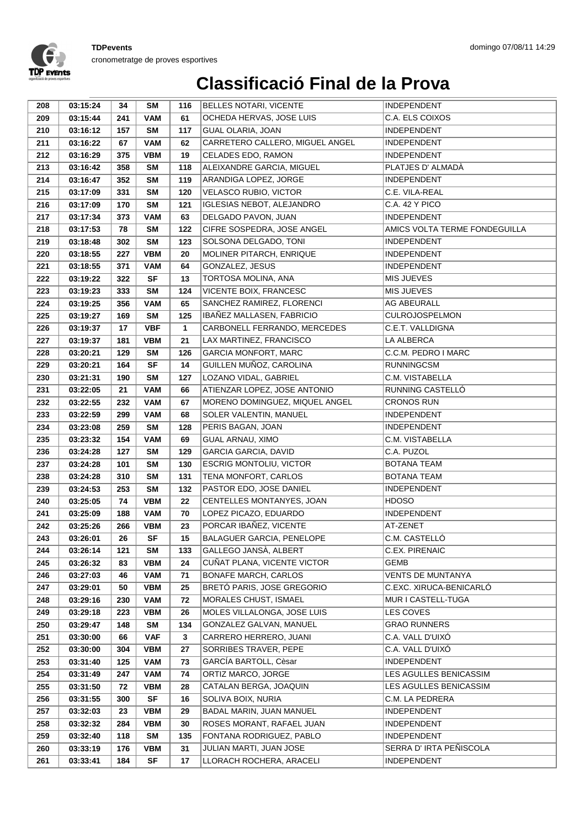

| 208        | 03:15:24             | 34         | <b>SM</b>              | 116        | <b>BELLES NOTARI, VICENTE</b>                   | <b>INDEPENDENT</b>                       |
|------------|----------------------|------------|------------------------|------------|-------------------------------------------------|------------------------------------------|
| 209        | 03:15:44             | 241        | <b>VAM</b>             | 61         | OCHEDA HERVAS, JOSE LUIS                        | C.A. ELS COIXOS                          |
| 210        | 03:16:12             | 157        | <b>SM</b>              | 117        | <b>GUAL OLARIA, JOAN</b>                        | <b>INDEPENDENT</b>                       |
| 211        | 03:16:22             | 67         | <b>VAM</b>             | 62         | CARRETERO CALLERO, MIGUEL ANGEL                 | <b>INDEPENDENT</b>                       |
| 212        | 03:16:29             | 375        | <b>VBM</b>             | 19         | CELADES EDO, RAMON                              | <b>INDEPENDENT</b>                       |
| 213        | 03:16:42             | 358        | <b>SM</b>              | 118        | ALEIXANDRE GARCIA, MIGUEL                       | PLATJES D' ALMADÀ                        |
| 214        | 03:16:47             | 352        | <b>SM</b>              | 119        | ARANDIGA LOPEZ, JORGE                           | <b>INDEPENDENT</b>                       |
| 215        | 03:17:09             | 331        | <b>SM</b>              | 120        | VELASCO RUBIO, VICTOR                           | C.E. VILA-REAL                           |
| 216        | 03:17:09             | 170        | SM                     | 121        | IGLESIAS NEBOT, ALEJANDRO                       | C.A. 42 Y PICO                           |
| 217        | 03:17:34             | 373        | <b>VAM</b>             | 63         | DELGADO PAVON, JUAN                             | <b>INDEPENDENT</b>                       |
| 218        | 03:17:53             | 78         | <b>SM</b>              | 122        | CIFRE SOSPEDRA, JOSE ANGEL                      | AMICS VOLTA TERME FONDEGUILLA            |
| 219        | 03:18:48             | 302        | <b>SM</b>              | 123        | SOLSONA DELGADO, TONI                           | <b>INDEPENDENT</b>                       |
| 220        | 03:18:55             | 227        | <b>VBM</b>             | 20         | MOLINER PITARCH, ENRIQUE                        | <b>INDEPENDENT</b>                       |
| 221        | 03:18:55             | 371        | VAM                    | 64         | GONZALEZ, JESUS                                 | <b>INDEPENDENT</b>                       |
| 222        | 03:19:22             | 322        | <b>SF</b>              | 13         | TORTOSA MOLINA, ANA                             | <b>MIS JUEVES</b>                        |
| 223        | 03:19:23             | 333        | <b>SM</b>              | 124        | VICENTE BOIX, FRANCESC                          | MIS JUEVES                               |
| 224        | 03:19:25             | 356        | <b>VAM</b>             | 65         | SANCHEZ RAMIREZ, FLORENCI                       | AG ABEURALL                              |
| 225        | 03:19:27             | 169        | <b>SM</b>              | 125        | IBAÑEZ MALLASEN, FABRICIO                       | <b>CULROJOSPELMON</b>                    |
| 226        | 03:19:37             | 17         | <b>VBF</b>             | 1          | CARBONELL FERRANDO, MERCEDES                    | C.E.T. VALLDIGNA                         |
| 227        | 03:19:37             | 181        | <b>VBM</b>             | 21         | LAX MARTINEZ, FRANCISCO                         | LA ALBERCA                               |
| 228        | 03:20:21             | 129        | <b>SM</b>              | 126        | <b>GARCIA MONFORT, MARC</b>                     | C.C.M. PEDRO I MARC                      |
| 229        | 03:20:21             | 164        | <b>SF</b>              | 14         | GUILLEN MUÑOZ, CAROLINA                         | <b>RUNNINGCSM</b>                        |
| 230        | 03:21:31             | 190        | <b>SM</b>              | 127        | LOZANO VIDAL, GABRIEL                           | C.M. VISTABELLA                          |
| 231        | 03:22:05             | 21         | <b>VAM</b>             | 66         | ATIENZAR LOPEZ, JOSE ANTONIO                    | RUNNING CASTELLÓ                         |
| 232        | 03:22:55             | 232        | <b>VAM</b>             | 67         | MORENO DOMINGUEZ, MIQUEL ANGEL                  | <b>CRONOS RUN</b>                        |
| 233        | 03:22:59             | 299        | <b>VAM</b>             | 68         | SOLER VALENTIN, MANUEL                          | <b>INDEPENDENT</b>                       |
| 234        | 03:23:08             | 259        | <b>SM</b>              | 128        | PERIS BAGAN, JOAN                               | <b>INDEPENDENT</b>                       |
| 235        | 03:23:32             | 154        | <b>VAM</b>             | 69         | <b>GUAL ARNAU, XIMO</b>                         | C.M. VISTABELLA                          |
| 236        | 03:24:28             | 127        | <b>SM</b>              | 129        | <b>GARCIA GARCIA, DAVID</b>                     | C.A. PUZOL                               |
| 237        | 03:24:28             | 101        | <b>SM</b>              | 130        | <b>ESCRIG MONTOLIU, VICTOR</b>                  | <b>BOTANA TEAM</b>                       |
| 238<br>239 | 03:24:28<br>03:24:53 | 310<br>253 | <b>SM</b><br><b>SM</b> | 131<br>132 | TENA MONFORT, CARLOS<br>PASTOR EDO, JOSE DANIEL | <b>BOTANA TEAM</b><br><b>INDEPENDENT</b> |
| 240        | 03:25:05             | 74         | <b>VBM</b>             | 22         | CENTELLES MONTANYES, JOAN                       | <b>HDOSO</b>                             |
| 241        | 03:25:09             | 188        | <b>VAM</b>             | 70         | LOPEZ PICAZO, EDUARDO                           | <b>INDEPENDENT</b>                       |
| 242        | 03:25:26             | 266        | <b>VBM</b>             | 23         | PORCAR IBAÑEZ, VICENTE                          | AT-ZENET                                 |
| 243        | 03:26:01             | 26         | <b>SF</b>              | 15         | <b>BALAGUER GARCIA, PENELOPE</b>                | C.M. CASTELLO                            |
| 244        | 03:26:14             | 121        | <b>SM</b>              | 133        | GALLEGO JANSÀ, ALBERT                           | <b>C.EX. PIRENAIC</b>                    |
| 245        | 03:26:32             | 83         | <b>VBM</b>             | 24         | CUÑAT PLANA, VICENTE VICTOR                     | <b>GEMB</b>                              |
| 246        | 03:27:03             | 46         | <b>VAM</b>             | 71         | <b>BONAFE MARCH, CARLOS</b>                     | VENTS DE MUNTANYA                        |
| 247        | 03:29:01             | 50         | <b>VBM</b>             | 25         | BRETÓ PARIS, JOSE GREGORIO                      | C.EXC. XIRUCA-BENICARLÓ                  |
| 248        | 03:29:16             | 230        | <b>VAM</b>             | 72         | MORALES CHUST, ISMAEL                           | MUR I CASTELL-TUGA                       |
| 249        | 03:29:18             | 223        | <b>VBM</b>             | 26         | MOLES VILLALONGA, JOSE LUIS                     | LES COVES                                |
| 250        | 03:29:47             | 148        | SM                     | 134        | GONZALEZ GALVAN, MANUEL                         | <b>GRAO RUNNERS</b>                      |
| 251        | 03:30:00             | 66         | <b>VAF</b>             | 3          | CARRERO HERRERO, JUANI                          | C.A. VALL D'UIXÓ                         |
| 252        | 03:30:00             | 304        | <b>VBM</b>             | 27         | SORRIBES TRAVER, PEPE                           | C.A. VALL D'UIXÓ                         |
| 253        | 03:31:40             | 125        | <b>VAM</b>             | 73         | GARCIA BARTOLL, Cèsar                           | <b>INDEPENDENT</b>                       |
| 254        | 03:31:49             | 247        | <b>VAM</b>             | 74         | ORTIZ MARCO, JORGE                              | LES AGULLES BENICASSIM                   |
| 255        | 03:31:50             | 72         | VBM                    | 28         | CATALAN BERGA, JOAQUIN                          | LES AGULLES BENICASSIM                   |
| 256        | 03:31:55             | 300        | <b>SF</b>              | 16         | SOLIVA BOIX, NURIA                              | C.M. LA PEDRERA                          |
| 257        | 03:32:03             | 23         | <b>VBM</b>             | 29         | BADAL MARIN, JUAN MANUEL                        | <b>INDEPENDENT</b>                       |
| 258        | 03:32:32             | 284        | <b>VBM</b>             | 30         | ROSES MORANT, RAFAEL JUAN                       | <b>INDEPENDENT</b>                       |
| 259        | 03:32:40             | 118        | SM                     | 135        | FONTANA RODRIGUEZ, PABLO                        | <b>INDEPENDENT</b>                       |
| 260        | 03:33:19             | 176        | <b>VBM</b>             | 31         | JULIAN MARTI, JUAN JOSE                         | SERRA D'IRTA PEÑISCOLA                   |
| 261        | 03:33:41             | 184        | SF                     | 17         | LLORACH ROCHERA, ARACELI                        | <b>INDEPENDENT</b>                       |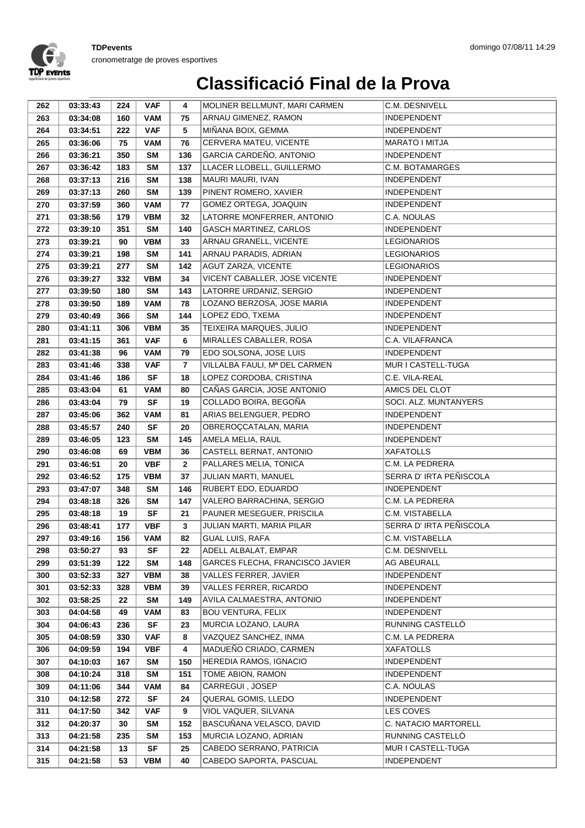

| 262        | 03:33:43             | 224        | <b>VAF</b>             | 4              | MOLINER BELLMUNT, MARI CARMEN                    | C.M. DESNIVELL                        |
|------------|----------------------|------------|------------------------|----------------|--------------------------------------------------|---------------------------------------|
| 263        | 03:34:08             | 160        | <b>VAM</b>             | 75             | ARNAU GIMENEZ, RAMON                             | <b>INDEPENDENT</b>                    |
| 264        | 03:34:51             | 222        | <b>VAF</b>             | 5              | MIÑANA BOIX, GEMMA                               | <b>INDEPENDENT</b>                    |
| 265        | 03:36:06             | 75         | VAM                    | 76             | CERVERA MATEU, VICENTE                           | MARATO I MITJA                        |
| 266        | 03:36:21             | 350        | <b>SM</b>              | 136            | GARCIA CARDEÑO, ANTONIO                          | <b>INDEPENDENT</b>                    |
| 267        | 03:36:42             | 183        | <b>SM</b>              | 137            | LLACER LLOBELL, GUILLERMO                        | C.M. BOTAMARGES                       |
| 268        | 03:37:13             | 216        | <b>SM</b>              | 138            | MAURI MAURI, IVAN                                | INDEPENDENT                           |
| 269        | 03:37:13             | 260        | <b>SM</b>              | 139            | PINENT ROMERO, XAVIER                            | INDEPENDENT                           |
| 270        | 03:37:59             | 360        | <b>VAM</b>             | 77             | GOMEZ ORTEGA, JOAQUIN                            | <b>INDEPENDENT</b>                    |
| 271        | 03:38:56             | 179        | <b>VBM</b>             | 32             | LATORRE MONFERRER, ANTONIO                       | C.A. NOULAS                           |
| 272        | 03:39:10             | 351        | <b>SM</b>              | 140            | <b>GASCH MARTINEZ, CARLOS</b>                    | <b>INDEPENDENT</b>                    |
| 273        | 03:39:21             | 90         | <b>VBM</b>             | 33             | ARNAU GRANELL, VICENTE                           | <b>LEGIONARIOS</b>                    |
| 274        | 03:39:21             | 198        | <b>SM</b>              | 141            | ARNAU PARADIS, ADRIAN                            | <b>LEGIONARIOS</b>                    |
| 275        | 03:39:21             | 277        | <b>SM</b>              | 142            | AGUT ZARZA, VICENTE                              | <b>LEGIONARIOS</b>                    |
| 276        | 03:39:27             | 332        | <b>VBM</b>             | 34             | VICENT CABALLER, JOSE VICENTE                    | INDEPENDENT                           |
| 277        | 03:39:50             | 180        | <b>SM</b>              | 143            | LATORRE URDANIZ, SERGIO                          | INDEPENDENT                           |
| 278        | 03:39:50             | 189        | <b>VAM</b>             | 78             | LOZANO BERZOSA, JOSE MARIA                       | <b>INDEPENDENT</b>                    |
| 279        | 03:40:49             | 366        | <b>SM</b>              | 144            | LOPEZ EDO, TXEMA                                 | <b>INDEPENDENT</b>                    |
| 280        | 03:41:11             | 306        | <b>VBM</b>             | 35             | TEIXEIRA MARQUES, JULIO                          | <b>INDEPENDENT</b>                    |
| 281        | 03:41:15             | 361        | <b>VAF</b>             | 6              | MIRALLES CABALLER, ROSA                          | C.A. VILAFRANCA                       |
| 282        | 03:41:38             | 96         | <b>VAM</b>             | 79             | EDO SOLSONA, JOSE LUIS                           | <b>INDEPENDENT</b>                    |
| 283        | 03:41:46             | 338        | <b>VAF</b>             | $\overline{7}$ | VILLALBA FAULI, Mª DEL CARMEN                    | MUR I CASTELL-TUGA                    |
| 284        | 03:41:46             | 186        | SF                     | 18             | LOPEZ CORDOBA, CRISTINA                          | C.E. VILA-REAL                        |
| 285        | 03:43:04             | 61         | <b>VAM</b>             | 80             | CAÑAS GARCIA, JOSE ANTONIO                       | AMICS DEL CLOT                        |
| 286        | 03:43:04             | 79         | <b>SF</b>              | 19             | COLLADO BOIRA, BEGOÑA                            | SOCI. ALZ. MUNTANYERS                 |
| 287        | 03:45:06             | 362        | <b>VAM</b>             | 81             | ARIAS BELENGUER, PEDRO                           | <b>INDEPENDENT</b>                    |
| 288        | 03:45:57             | 240        | <b>SF</b>              | 20             | OBREROÇCATALAN, MARIA                            | INDEPENDENT                           |
| 289        | 03:46:05             | 123        | <b>SM</b>              | 145            | AMELA MELIA, RAUL                                | INDEPENDENT                           |
| 290        | 03:46:08             | 69         | <b>VBM</b>             | 36             | CASTELL BERNAT, ANTONIO                          | <b>XAFATOLLS</b>                      |
| 291        | 03:46:51             | 20         | <b>VBF</b>             | $\mathbf{2}$   | PALLARES MELIA, TONICA                           | C.M. LA PEDRERA                       |
| 292        | 03:46:52             | 175        | <b>VBM</b>             | 37             | JULIAN MARTI, MANUEL                             | SERRA D' IRTA PEÑISCOLA               |
| 293<br>294 | 03:47:07<br>03:48:18 | 348<br>326 | <b>SM</b><br><b>SM</b> | 146<br>147     | RUBERT EDO, EDUARDO<br>VALERO BARRACHINA, SERGIO | <b>INDEPENDENT</b><br>C.M. LA PEDRERA |
| 295        | 03:48:18             | 19         | <b>SF</b>              | 21             | PAUNER MESEGUER, PRISCILA                        | C.M. VISTABELLA                       |
| 296        | 03:48:41             | 177        | <b>VBF</b>             | 3              | JULIAN MARTI, MARIA PILAR                        | SERRA D' IRTA PEÑISCOLA               |
| 297        | 03:49:16             | 156        | <b>VAM</b>             | 82             | <b>GUAL LUIS, RAFA</b>                           | C.M. VISTABELLA                       |
| 298        | 03:50:27             | 93         | SF                     | 22             | ADELL ALBALAT, EMPAR                             | C.M. DESNIVELL                        |
| 299        | 03:51:39             | 122        | SM                     | 148            | <b>GARCES FLECHA, FRANCISCO JAVIER</b>           | AG ABEURALL                           |
| 300        | 03:52:33             | 327        | <b>VBM</b>             | 38             | VALLES FERRER, JAVIER                            | INDEPENDENT                           |
| 301        | 03:52:33             | 328        | <b>VBM</b>             | 39             | VALLES FERRER, RICARDO                           | INDEPENDENT                           |
| 302        | 03:58:25             | 22         | SM                     | 149            | AVILA CALMAESTRA, ANTONIO                        | <b>INDEPENDENT</b>                    |
| 303        | 04:04:58             | 49         | VAM                    | 83             | <b>BOU VENTURA, FELIX</b>                        | INDEPENDENT                           |
| 304        | 04:06:43             | 236        | <b>SF</b>              | 23             | MURCIA LOZANO, LAURA                             | RUNNING CASTELLO                      |
| 305        | 04:08:59             | 330        | <b>VAF</b>             | 8              | VAZQUEZ SANCHEZ, INMA                            | C.M. LA PEDRERA                       |
| 306        | 04:09:59             | 194        | <b>VBF</b>             | 4              | MADUEÑO CRIADO, CARMEN                           | <b>XAFATOLLS</b>                      |
| 307        | 04:10:03             | 167        | <b>SM</b>              | 150            | HEREDIA RAMOS, IGNACIO                           | INDEPENDENT                           |
| 308        | 04:10:24             | 318        | SM                     | 151            | TOME ABION, RAMON                                | INDEPENDENT                           |
| 309        | 04:11:06             | 344        | VAM                    | 84             | CARREGUI, JOSEP                                  | C.A. NOULAS                           |
| 310        | 04:12:58             | 272        | SF                     | 24             | QUERAL GOMIS, LLEDO                              | INDEPENDENT                           |
| 311        | 04:17:50             | 342        | <b>VAF</b>             | 9              | VIOL VAQUER, SILVANA                             | LES COVES                             |
| 312        | 04:20:37             | 30         | <b>SM</b>              | 152            | BASCUÑANA VELASCO, DAVID                         | C. NATACIO MARTORELL                  |
| 313        | 04:21:58             | 235        | SM                     | 153            | MURCIA LOZANO, ADRIAN                            | RUNNING CASTELLÓ                      |
| 314        | 04:21:58             | 13         | <b>SF</b>              | 25             | CABEDO SERRANO, PATRICIA                         | MUR I CASTELL-TUGA                    |
| 315        | 04:21:58             | 53         | <b>VBM</b>             | 40             | CABEDO SAPORTA, PASCUAL                          | INDEPENDENT                           |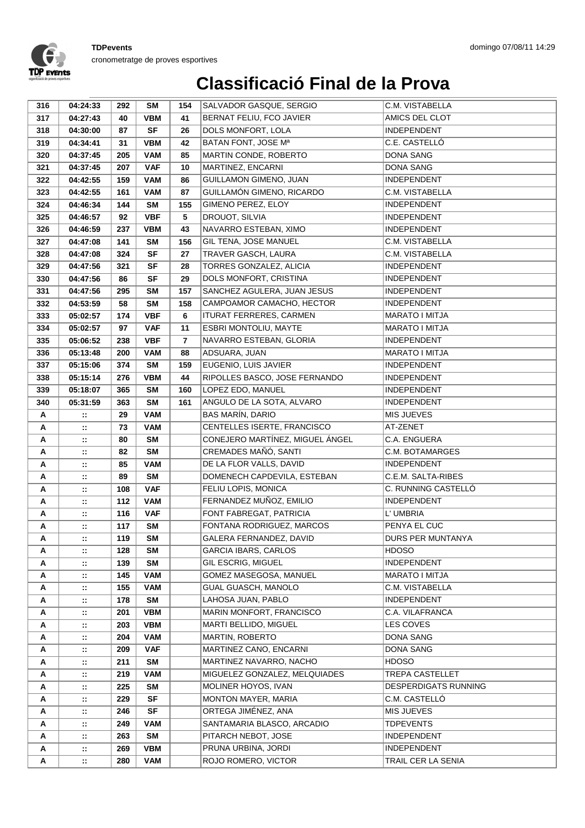

| 316    | 04:24:33           | 292        | <b>SM</b>               | 154            | SALVADOR GASQUE, SERGIO                              | C.M. VISTABELLA                             |
|--------|--------------------|------------|-------------------------|----------------|------------------------------------------------------|---------------------------------------------|
| 317    | 04:27:43           | 40         | <b>VBM</b>              | 41             | BERNAT FELIU, FCO JAVIER                             | AMICS DEL CLOT                              |
| 318    | 04:30:00           | 87         | <b>SF</b>               | 26             | DOLS MONFORT, LOLA                                   | <b>INDEPENDENT</b>                          |
| 319    | 04:34:41           | 31         | <b>VBM</b>              | 42             | BATAN FONT, JOSE Mª                                  | C.E. CASTELLÓ                               |
| 320    | 04:37:45           | 205        | <b>VAM</b>              | 85             | MARTIN CONDE, ROBERTO                                | <b>DONA SANG</b>                            |
| 321    | 04:37:45           | 207        | <b>VAF</b>              | 10             | MARTINEZ, ENCARNI                                    | <b>DONA SANG</b>                            |
| 322    | 04:42:55           | 159        | <b>VAM</b>              | 86             | <b>GUILLAMON GIMENO, JUAN</b>                        | <b>INDEPENDENT</b>                          |
| 323    | 04:42:55           | 161        | <b>VAM</b>              | 87             | GUILLAMÓN GIMENO, RICARDO                            | C.M. VISTABELLA                             |
| 324    | 04:46:34           | 144        | <b>SM</b>               | 155            | GIMENO PEREZ, ELOY                                   | <b>INDEPENDENT</b>                          |
| 325    | 04:46:57           | 92         | <b>VBF</b>              | 5              | DROUOT, SILVIA                                       | <b>INDEPENDENT</b>                          |
| 326    | 04:46:59           | 237        | <b>VBM</b>              | 43             | NAVARRO ESTEBAN, XIMO                                | <b>INDEPENDENT</b>                          |
| 327    | 04:47:08           | 141        | <b>SM</b>               | 156            | GIL TENA, JOSE MANUEL                                | C.M. VISTABELLA                             |
| 328    | 04:47:08           | 324        | <b>SF</b>               | 27             | TRAVER GASCH, LAURA                                  | C.M. VISTABELLA                             |
| 329    | 04:47:56           | 321        | <b>SF</b>               | 28             | TORRES GONZALEZ, ALICIA                              | <b>INDEPENDENT</b>                          |
| 330    | 04:47:56           | 86         | <b>SF</b>               | 29             | DOLS MONFORT, CRISTINA                               | <b>INDEPENDENT</b>                          |
| 331    | 04:47:56           | 295        | <b>SM</b>               | 157            | SANCHEZ AGULERA, JUAN JESUS                          | <b>INDEPENDENT</b>                          |
| 332    | 04:53:59           | 58         | <b>SM</b>               | 158            | CAMPOAMOR CAMACHO, HECTOR                            | <b>INDEPENDENT</b>                          |
| 333    | 05:02:57           | 174        | <b>VBF</b>              | 6              | ITURAT FERRERES, CARMEN                              | <b>MARATO I MITJA</b>                       |
| 334    | 05:02:57           | 97         | <b>VAF</b>              | 11             | ESBRI MONTOLIU, MAYTE                                | <b>MARATO I MITJA</b>                       |
| 335    | 05:06:52           | 238        | <b>VBF</b>              | $\overline{7}$ | NAVARRO ESTEBAN, GLORIA                              | <b>INDEPENDENT</b>                          |
| 336    | 05:13:48           | 200        | <b>VAM</b>              | 88             | ADSUARA, JUAN                                        | <b>MARATO I MITJA</b>                       |
| 337    | 05:15:06           | 374        | <b>SM</b>               | 159            | EUGENIO, LUIS JAVIER                                 | INDEPENDENT                                 |
| 338    | 05:15:14           | 276        | <b>VBM</b>              | 44             | RIPOLLES BASCO, JOSE FERNANDO                        | INDEPENDENT                                 |
| 339    | 05:18:07           | 365        | <b>SM</b>               | 160            | LOPEZ EDO, MANUEL                                    | <b>INDEPENDENT</b>                          |
| 340    | 05:31:59           | 363        | <b>SM</b>               | 161            | ANGULO DE LA SOTA, ALVARO                            | <b>INDEPENDENT</b>                          |
| Α      | $\mathbb{Z}$       | 29         | <b>VAM</b>              |                | <b>BAS MARÍN, DARIO</b>                              | MIS JUEVES                                  |
| Α      | $\mathbb{Z}^2$     | 73         | <b>VAM</b>              |                | CENTELLES ISERTE, FRANCISCO                          | AT-ZENET                                    |
| Α      | $\mathbb{Z}$       | 80         | <b>SM</b>               |                | CONEJERO MARTÍNEZ, MIGUEL ÁNGEL                      | C.A. ENGUERA                                |
| А      | $\mathbb{Z}^*$     | 82         | <b>SM</b>               |                | CREMADES MAÑÓ, SANTI                                 | C.M. BOTAMARGES                             |
| Α      | $\mathbb{Z}^2$     | 85         | <b>VAM</b>              |                | DE LA FLOR VALLS, DAVID                              | <b>INDEPENDENT</b>                          |
| А      | $\mathbf{H}$       | 89         | <b>SM</b>               |                | DOMENECH CAPDEVILA, ESTEBAN                          | C.E.M. SALTA-RIBES                          |
| Α      | $\mathbb{R}^2$     | 108        | <b>VAF</b>              |                | FELIU LOPIS, MONICA                                  | C. RUNNING CASTELLÓ                         |
| А      | $\mathbb{Z}$       | 112        | <b>VAM</b>              |                | FERNANDEZ MUÑOZ, EMILIO                              | <b>INDEPENDENT</b>                          |
| Α      | $\mathbb{Z}^*$     | 116        | <b>VAF</b>              |                | FONT FABREGAT, PATRICIA<br>FONTANA RODRIGUEZ, MARCOS | L' UMBRIA<br>PENYA EL CUC                   |
| Α      | $\mathbb{Z}^*$     | 117        | <b>SM</b><br><b>SM</b>  |                |                                                      |                                             |
| Α      | ∷                  | 119        |                         |                | GALERA FERNANDEZ, DAVID                              | DURS PER MUNTANYA                           |
| Α      | $\mathbb{Z}$       | 128        | SM                      |                | <b>GARCIA IBARS, CARLOS</b>                          | <b>HDOSO</b>                                |
| Α<br>А | $\mathbb{N}$       | 139<br>145 | <b>SM</b><br><b>VAM</b> |                | GIL ESCRIG, MIGUEL<br>GOMEZ MASEGOSA, MANUEL         | <b>INDEPENDENT</b><br><b>MARATO I MITJA</b> |
|        | $\mathbb{Z}^*$     |            | <b>VAM</b>              |                | <b>GUAL GUASCH, MANOLO</b>                           | C.M. VISTABELLA                             |
| Α<br>Α | $\mathbb{Z}$<br>π. | 155<br>178 | SM                      |                | LAHOSA JUAN, PABLO                                   | <b>INDEPENDENT</b>                          |
| А      | π.                 | 201        | <b>VBM</b>              |                | MARIN MONFORT, FRANCISCO                             | C.A. VILAFRANCA                             |
| А      | $\mathbb{Z}$       | 203        | <b>VBM</b>              |                | MARTI BELLIDO, MIGUEL                                | <b>LES COVES</b>                            |
| А      | $\mathbb{Z}^*$     | 204        | <b>VAM</b>              |                | <b>MARTIN, ROBERTO</b>                               | DONA SANG                                   |
| Α      | $\mathbb{Z}$       | 209        | <b>VAF</b>              |                | MARTINEZ CANO, ENCARNI                               | DONA SANG                                   |
| А      | $\mathbb{H}$       | 211        | SM                      |                | MARTINEZ NAVARRO, NACHO                              | <b>HDOSO</b>                                |
| Α      | $\mathbb{Z}^*$     | 219        | <b>VAM</b>              |                | MIGUELEZ GONZALEZ, MELQUIADES                        | <b>TREPA CASTELLET</b>                      |
| Α      | $\mathbb{Z}^*$     | 225        | <b>SM</b>               |                | MOLINER HOYOS, IVAN                                  | <b>DESPERDIGATS RUNNING</b>                 |
| Α      | $\mathbb{Z}^*$     | 229        | SF                      |                | MONTON MAYER, MARIA                                  | C.M. CASTELLÓ                               |
| Α      | $\mathbb{Z}^*$     | 246        | <b>SF</b>               |                | ORTEGA JIMÉNEZ, ANA                                  | MIS JUEVES                                  |
| А      | $\mathbb{Z}^*$     | 249        | <b>VAM</b>              |                | SANTAMARIA BLASCO, ARCADIO                           | <b>TDPEVENTS</b>                            |
| А      | ∷                  | 263        | SM                      |                | PITARCH NEBOT, JOSE                                  | <b>INDEPENDENT</b>                          |
| Α      | $\mathbb{Z}^*$     | 269        | <b>VBM</b>              |                | PRUNA URBINA, JORDI                                  | <b>INDEPENDENT</b>                          |
| Α      | $\mathbb{Z}^n$     | 280        | <b>VAM</b>              |                | ROJO ROMERO, VICTOR                                  | TRAIL CER LA SENIA                          |